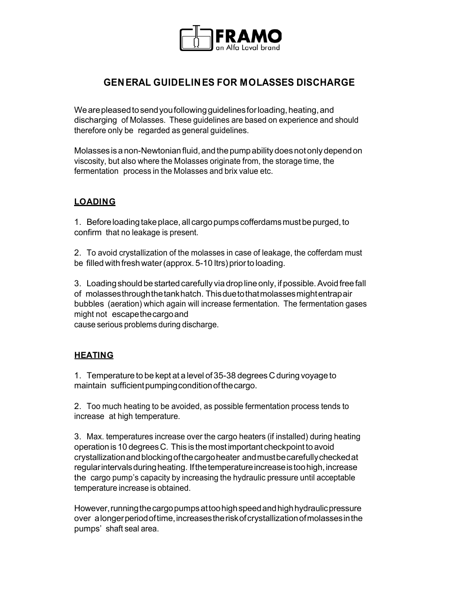

## **GEN ERAL GUIDELIN ES FOR MOLASSES DISCHARGE**

We are pleased to send you following guidelines for loading, heating, and discharging of Molasses. These guidelines are based on experience and should therefore only be regarded as general guidelines.

Molasses is a non-Newtonian fluid, and the pump ability does not only depend on viscosity, but also where the Molasses originate from, the storage time, the fermentation process in the Molasses and brix value etc.

## **LOADING**

1. Before loading take place, all cargo pumps cofferdams must be purged, to confirm that no leakage is present.

2. To avoid crystallization of the molasses in case of leakage, the cofferdam must be filled with fresh water (approx. 5-10 ltrs) prior to loading.

3. Loading should be started carefully via drop line only, if possible. Avoid free fall of molasses through the tank hatch. This due to that molasses might entrap air bubbles (aeration) which again will increase fermentation. The fermentation gases might not escape the cargo and

cause serious problems during discharge.

## **HEATING**

1. Temperature to be kept at a level of 35-38 degrees C during voyage to maintain sufficient pumping condition of the cargo.

2. Too much heating to be avoided, as possible fermentation process tends to increase at high temperature.

3. Max. temperatures increase over the cargo heaters (if installed) during heating operation is 10 degrees C. This is the most important checkpoint to avoid crystallization and blocking of the cargo heater and must be carefully checked at regular intervals during heating. If the temperature increase is too high, increase the cargo pump's capacity by increasing the hydraulic pressure until acceptable temperature increase is obtained.

However, running the cargo pumps at too high speed and high hydraulic pressure over a longer period of time, increases the risk of crystallization of molasses in the pumps' shaft seal area.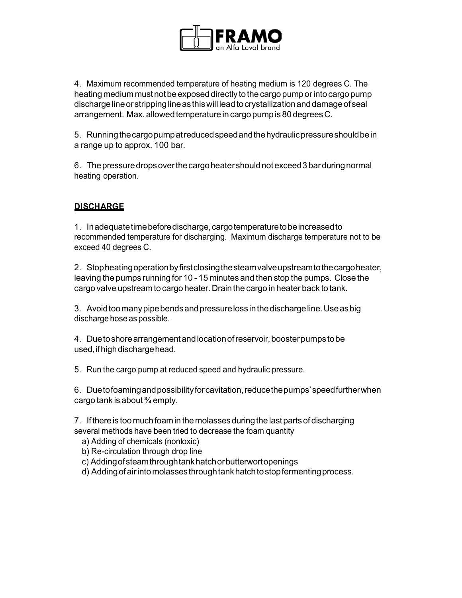

4. Maximum recommended temperature of heating medium is 120 degrees C. The heating medium must not be exposed directly to the cargo pump or into cargo pump discharge line or stripping line as this will lead to crystallization and damage of seal arrangement. Max. allowed temperature in cargo pump is 80 degrees C.

5. Running the cargo pump at reduced speed and the hydraulic pressure should be in a range up to approx. 100 bar.

6. The pressure drops over the cargo heater should not exceed 3 bar during normal heating operation.

## **DI SCH ARG E**

1. In adequate time before discharge, cargo temperature to be increased to recommended temperature for discharging. Maximum discharge temperature not to be exceed 40 degrees C.

2. Stop heating operation by first closing the steam valve upstream to the cargo heater, leaving the pumps running for 10 - 15 minutes and then stop the pumps. Close the cargo valve upstream to cargo heater. Drain the cargo in heater back to tank.

3. Avoid too many pipe bends and pressure loss in the discharge line. Use as big discharge hose as possible.

4. Due to shore arrangement and location of reservoir, booster pumps to be used, if high discharge head.

5. Run the cargo pump at reduced speed and hydraulic pressure.

6. Due to foaming and possibility for cavitation, reduce the pumps' speed further when cargo tank is about  $\frac{3}{4}$  empty.

7. If there is too much foam in the molasses during the last parts of discharging several methods have been tried to decrease the foam quantity

a) Adding of chemicals (nontoxic)

b) Re-circulation through drop line

c) Adding of steam through tank hatch or butterwort openings

d) Adding of air into molasses through tank hatch to stop fermenting process.